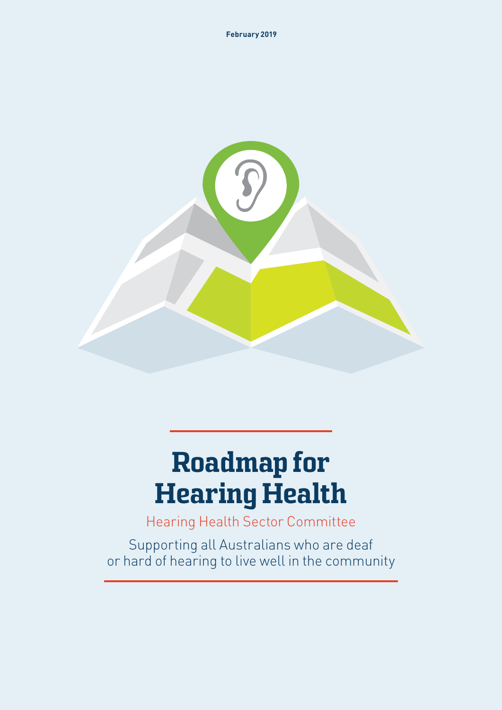

# Roadmap for Hearing Health

Hearing Health Sector Committee

Supporting all Australians who are deaf or hard of hearing to live well in the community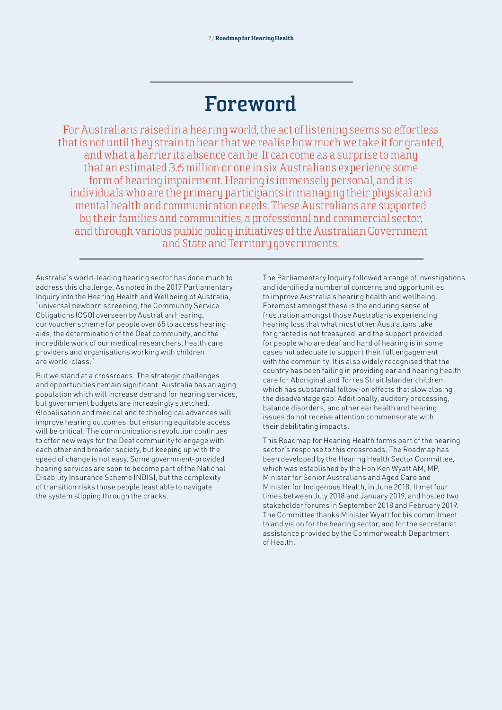## **Foreword**

For Australians raised in a hearing world, the act of listening seems so effortless that is not until they strain to hear that we realise how much we take it for granted, and what a barrier its absence can be. It can come as a surprise to many that an estimated 3.6 million or one in six Australians experience some form of hearing impairment. Hearing is immensely personal, and it is individuals who are the primary participants in managing their physical and mental health and communication needs. These Australians are supported by their families and communities, a professional and commercial sector, and through various public policy initiatives of the Australian Government and State and Territory governments.

Australia's world-leading hearing sector has done much to address this challenge. As noted in the 2017 Parliamentary Inquiry into the Hearing Health and Wellbeing of Australia, "universal newborn screening, the Community Service Obligations (CSO) overseen by Australian Hearing, our voucher scheme for people over 65 to access hearing aids, the determination of the Deaf community, and the incredible work of our medical researchers, health care providers and organisations working with children are world-class."

But we stand at a crossroads. The strategic challenges and opportunities remain significant. Australia has an aging population which will increase demand for hearing services, but government budgets are increasingly stretched. Globalisation and medical and technological advances will improve hearing outcomes, but ensuring equitable access will be critical. The communications revolution continues to offer new ways for the Deaf community to engage with each other and broader society, but keeping up with the speed of change is not easy. Some government-provided hearing services are soon to become part of the National Disability Insurance Scheme (NDIS), but the complexity of transition risks those people least able to navigate the system slipping through the cracks.

The Parliamentary Inquiry followed a range of investigations and identified a number of concerns and opportunities to improve Australia's hearing health and wellbeing. Foremost amongst these is the enduring sense of frustration amongst those Australians experiencing hearing loss that what most other Australians take for granted is not treasured, and the support provided for people who are deaf and hard of hearing is in some cases not adequate to support their full engagement with the community. It is also widely recognised that the country has been failing in providing ear and hearing health care for Aboriginal and Torres Strait Islander children, which has substantial follow-on effects that slow closing the disadvantage gap. Additionally, auditory processing, balance disorders, and other ear health and hearing issues do not receive attention commensurate with their debilitating impacts.

This Roadmap for Hearing Health forms part of the hearing sector's response to this crossroads. The Roadmap has been developed by the Hearing Health Sector Committee, which was established by the Hon Ken Wyatt AM, MP, Minister for Senior Australians and Aged Care and Minister for Indigenous Health, in June 2018. It met four times between July 2018 and January 2019, and hosted two stakeholder forums in September 2018 and February 2019. The Committee thanks Minister Wyatt for his commitment to and vision for the hearing sector, and for the secretariat assistance provided by the Commonwealth Department of Health.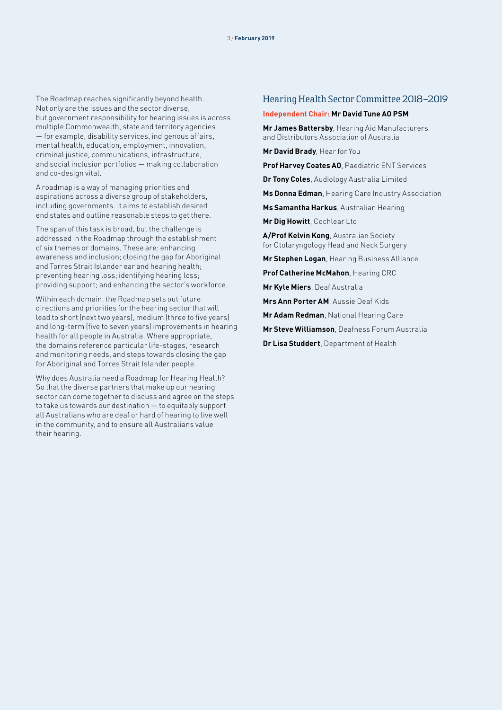The Roadmap reaches significantly beyond health. Not only are the issues and the sector diverse, but government responsibility for hearing issues is across multiple Commonwealth, state and territory agencies — for example, disability services, indigenous affairs, mental health, education, employment, innovation, criminal justice, communications, infrastructure, and social inclusion portfolios — making collaboration and co-design vital.

A roadmap is a way of managing priorities and aspirations across a diverse group of stakeholders, including governments. It aims to establish desired end states and outline reasonable steps to get there.

The span of this task is broad, but the challenge is addressed in the Roadmap through the establishment of six themes or domains. These are: enhancing awareness and inclusion; closing the gap for Aboriginal and Torres Strait Islander ear and hearing health; preventing hearing loss; identifying hearing loss; providing support; and enhancing the sector's workforce.

Within each domain, the Roadmap sets out future directions and priorities for the hearing sector that will lead to short (next two years), medium (three to five years) and long-term (five to seven years) improvements in hearing health for all people in Australia. Where appropriate, the domains reference particular life-stages, research and monitoring needs, and steps towards closing the gap for Aboriginal and Torres Strait Islander people.

Why does Australia need a Roadmap for Hearing Health? So that the diverse partners that make up our hearing sector can come together to discuss and agree on the steps to take us towards our destination — to equitably support all Australians who are deaf or hard of hearing to live well in the community, and to ensure all Australians value their hearing.

#### Hearing Health Sector Committee 2018–2019

#### **Independent Chair: Mr David Tune AO PSM**

**Mr James Battersby**, Hearing Aid Manufacturers and Distributors Association of Australia

**Mr David Brady**, Hear for You

**Prof Harvey Coates AO**, Paediatric ENT Services

**Dr Tony Coles**, Audiology Australia Limited

**Ms Donna Edman**, Hearing Care Industry Association

**Ms Samantha Harkus**, Australian Hearing

**Mr Dig Howitt**, Cochlear Ltd

**A/Prof Kelvin Kong**, Australian Society for Otolaryngology Head and Neck Surgery

**Mr Stephen Logan**, Hearing Business Alliance

**Prof Catherine McMahon**, Hearing CRC

**Mr Kyle Miers**, Deaf Australia

**Mrs Ann Porter AM**, Aussie Deaf Kids

**Mr Adam Redman**, National Hearing Care

**Mr Steve Williamson**, Deafness Forum Australia

**Dr Lisa Studdert**, Department of Health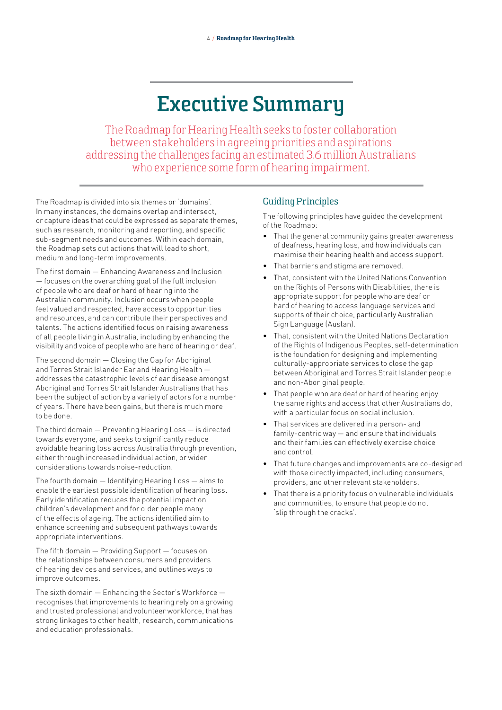## **Executive Summary**

The Roadmap for Hearing Health seeks to foster collaboration between stakeholders in agreeing priorities and aspirations addressing the challenges facing an estimated 3.6 million Australians who experience some form of hearing impairment.

The Roadmap is divided into six themes or 'domains'. In many instances, the domains overlap and intersect, or capture ideas that could be expressed as separate themes, such as research, monitoring and reporting, and specific sub-segment needs and outcomes. Within each domain, the Roadmap sets out actions that will lead to short, medium and long-term improvements.

The first domain — Enhancing Awareness and Inclusion — focuses on the overarching goal of the full inclusion of people who are deaf or hard of hearing into the Australian community. Inclusion occurs when people feel valued and respected, have access to opportunities and resources, and can contribute their perspectives and talents. The actions identified focus on raising awareness of all people living in Australia, including by enhancing the visibility and voice of people who are hard of hearing or deaf.

The second domain — Closing the Gap for Aboriginal and Torres Strait Islander Ear and Hearing Health addresses the catastrophic levels of ear disease amongst Aboriginal and Torres Strait Islander Australians that has been the subject of action by a variety of actors for a number of years. There have been gains, but there is much more to be done.

The third domain — Preventing Hearing Loss — is directed towards everyone, and seeks to significantly reduce avoidable hearing loss across Australia through prevention, either through increased individual action, or wider considerations towards noise-reduction.

The fourth domain — Identifying Hearing Loss — aims to enable the earliest possible identification of hearing loss. Early identification reduces the potential impact on children's development and for older people many of the effects of ageing. The actions identified aim to enhance screening and subsequent pathways towards appropriate interventions.

The fifth domain — Providing Support — focuses on the relationships between consumers and providers of hearing devices and services, and outlines ways to improve outcomes.

The sixth domain — Enhancing the Sector's Workforce recognises that improvements to hearing rely on a growing and trusted professional and volunteer workforce, that has strong linkages to other health, research, communications and education professionals.

## Guiding Principles

The following principles have guided the development of the Roadmap:

- That the general community gains greater awareness of deafness, hearing loss, and how individuals can maximise their hearing health and access support.
- That barriers and stigma are removed.
- That, consistent with the United Nations Convention on the Rights of Persons with Disabilities, there is appropriate support for people who are deaf or hard of hearing to access language services and supports of their choice, particularly Australian Sign Language (Auslan).
- That, consistent with the United Nations Declaration of the Rights of Indigenous Peoples, self-determination is the foundation for designing and implementing culturally-appropriate services to close the gap between Aboriginal and Torres Strait Islander people and non-Aboriginal people.
- That people who are deaf or hard of hearing enjoy the same rights and access that other Australians do, with a particular focus on social inclusion.
- That services are delivered in a person- and family-centric way — and ensure that individuals and their families can effectively exercise choice and control.
- That future changes and improvements are co-designed with those directly impacted, including consumers, providers, and other relevant stakeholders.
- That there is a priority focus on vulnerable individuals and communities, to ensure that people do not 'slip through the cracks'.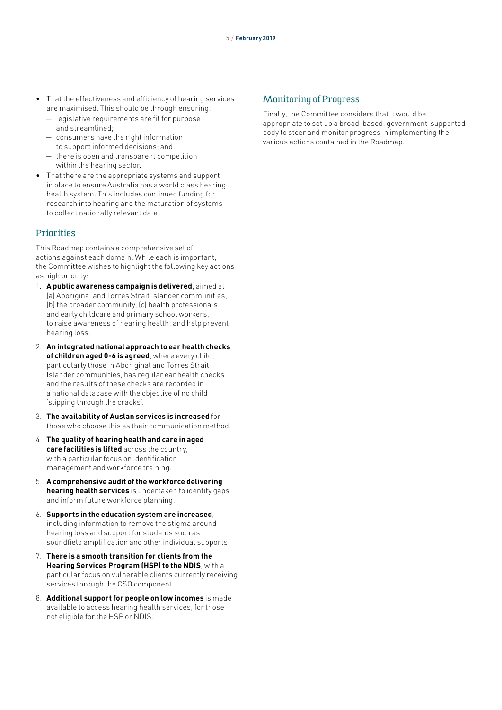- That the effectiveness and efficiency of hearing services are maximised. This should be through ensuring:
	- legislative requirements are fit for purpose and streamlined;
	- consumers have the right information to support informed decisions; and
	- there is open and transparent competition within the hearing sector.
- That there are the appropriate systems and support in place to ensure Australia has a world class hearing health system. This includes continued funding for research into hearing and the maturation of systems to collect nationally relevant data.

#### **Prinrities**

This Roadmap contains a comprehensive set of actions against each domain. While each is important, the Committee wishes to highlight the following key actions as high priority:

- 1. **A public awareness campaign is delivered**, aimed at (a) Aboriginal and Torres Strait Islander communities, (b) the broader community, (c) health professionals and early childcare and primary school workers, to raise awareness of hearing health, and help prevent hearing loss.
- 2. **An integrated national approach to ear health checks of children aged 0-6 is agreed**, where every child, particularly those in Aboriginal and Torres Strait Islander communities, has regular ear health checks and the results of these checks are recorded in a national database with the objective of no child 'slipping through the cracks'.
- 3. **The availability of Auslan services is increased** for those who choose this as their communication method.
- 4. **The quality of hearing health and care in aged care facilities is lifted** across the country, with a particular focus on identification, management and workforce training.
- 5. **A comprehensive audit of the workforce delivering hearing health services** is undertaken to identify gaps and inform future workforce planning.
- 6. **Supports in the education system are increased**, including information to remove the stigma around hearing loss and support for students such as soundfield amplification and other individual supports.
- 7. **There is a smooth transition for clients from the Hearing Services Program (HSP) to the NDIS**, with a particular focus on vulnerable clients currently receiving services through the CSO component.
- 8. **Additional support for people on low incomes** is made available to access hearing health services, for those not eligible for the HSP or NDIS.

### Monitoring of Progress

Finally, the Committee considers that it would be appropriate to set up a broad-based, government-supported body to steer and monitor progress in implementing the various actions contained in the Roadmap.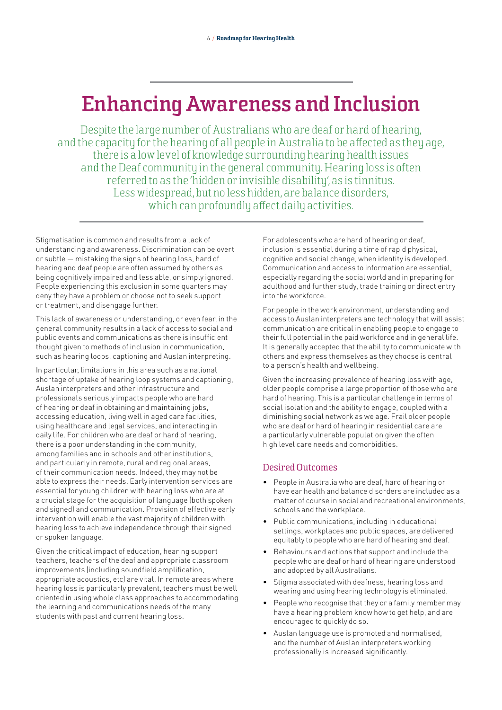## **Enhancing Awareness and Inclusion**

Despite the large number of Australians who are deaf or hard of hearing, and the capacity for the hearing of all people in Australia to be affected as they age, there is a low level of knowledge surrounding hearing health issues and the Deaf community in the general community. Hearing loss is often referred to as the 'hidden or invisible disability', as is tinnitus. Less widespread, but no less hidden, are balance disorders, which can profoundly affect daily activities.

Stigmatisation is common and results from a lack of understanding and awareness. Discrimination can be overt or subtle — mistaking the signs of hearing loss, hard of hearing and deaf people are often assumed by others as being cognitively impaired and less able, or simply ignored. People experiencing this exclusion in some quarters may deny they have a problem or choose not to seek support or treatment, and disengage further.

This lack of awareness or understanding, or even fear, in the general community results in a lack of access to social and public events and communications as there is insufficient thought given to methods of inclusion in communication, such as hearing loops, captioning and Auslan interpreting.

In particular, limitations in this area such as a national shortage of uptake of hearing loop systems and captioning, Auslan interpreters and other infrastructure and professionals seriously impacts people who are hard of hearing or deaf in obtaining and maintaining jobs, accessing education, living well in aged care facilities, using healthcare and legal services, and interacting in daily life. For children who are deaf or hard of hearing, there is a poor understanding in the community, among families and in schools and other institutions, and particularly in remote, rural and regional areas, of their communication needs. Indeed, they may not be able to express their needs. Early intervention services are essential for young children with hearing loss who are at a crucial stage for the acquisition of language (both spoken and signed) and communication. Provision of effective early intervention will enable the vast majority of children with hearing loss to achieve independence through their signed or spoken language.

Given the critical impact of education, hearing support teachers, teachers of the deaf and appropriate classroom improvements (including soundfield amplification, appropriate acoustics, etc) are vital. In remote areas where hearing loss is particularly prevalent, teachers must be well oriented in using whole class approaches to accommodating the learning and communications needs of the many students with past and current hearing loss.

For adolescents who are hard of hearing or deaf, inclusion is essential during a time of rapid physical, cognitive and social change, when identity is developed. Communication and access to information are essential, especially regarding the social world and in preparing for adulthood and further study, trade training or direct entry into the workforce.

For people in the work environment, understanding and access to Auslan interpreters and technology that will assist communication are critical in enabling people to engage to their full potential in the paid workforce and in general life. It is generally accepted that the ability to communicate with others and express themselves as they choose is central to a person's health and wellbeing.

Given the increasing prevalence of hearing loss with age, older people comprise a large proportion of those who are hard of hearing. This is a particular challenge in terms of social isolation and the ability to engage, coupled with a diminishing social network as we age. Frail older people who are deaf or hard of hearing in residential care are a particularly vulnerable population given the often high level care needs and comorbidities.

## Desired Outcomes

- People in Australia who are deaf, hard of hearing or have ear health and balance disorders are included as a matter of course in social and recreational environments, schools and the workplace.
- Public communications, including in educational settings, workplaces and public spaces, are delivered equitably to people who are hard of hearing and deaf.
- Behaviours and actions that support and include the people who are deaf or hard of hearing are understood and adopted by all Australians.
- Stigma associated with deafness, hearing loss and wearing and using hearing technology is eliminated.
- People who recognise that they or a family member may have a hearing problem know how to get help, and are encouraged to quickly do so.
- Auslan language use is promoted and normalised, and the number of Auslan interpreters working professionally is increased significantly.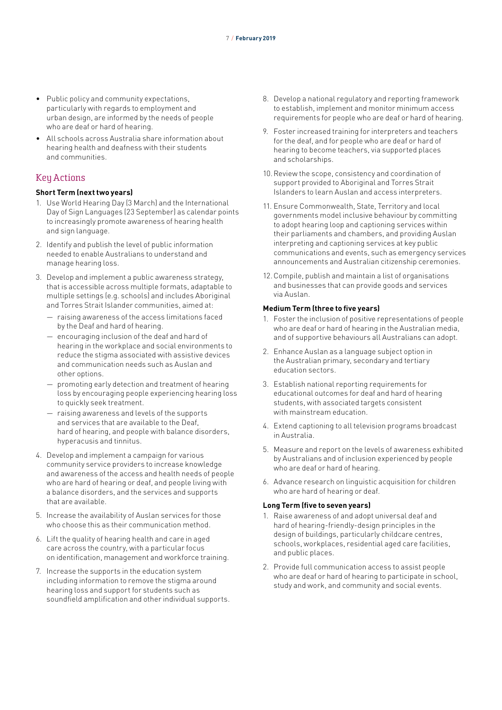- Public policy and community expectations, particularly with regards to employment and urban design, are informed by the needs of people who are deaf or hard of hearing.
- All schools across Australia share information about hearing health and deafness with their students and communities.

### Key Actions

#### **Short Term (next two years)**

- 1. Use World Hearing Day (3 March) and the International Day of Sign Languages (23 September) as calendar points to increasingly promote awareness of hearing health and sign language.
- 2. Identify and publish the level of public information needed to enable Australians to understand and manage hearing loss.
- 3. Develop and implement a public awareness strategy, that is accessible across multiple formats, adaptable to multiple settings (e.g. schools) and includes Aboriginal and Torres Strait Islander communities, aimed at:
	- raising awareness of the access limitations faced by the Deaf and hard of hearing.
	- encouraging inclusion of the deaf and hard of hearing in the workplace and social environments to reduce the stigma associated with assistive devices and communication needs such as Auslan and other options.
	- promoting early detection and treatment of hearing loss by encouraging people experiencing hearing loss to quickly seek treatment.
	- raising awareness and levels of the supports and services that are available to the Deaf, hard of hearing, and people with balance disorders, hyperacusis and tinnitus.
- 4. Develop and implement a campaign for various community service providers to increase knowledge and awareness of the access and health needs of people who are hard of hearing or deaf, and people living with a balance disorders, and the services and supports that are available.
- 5. Increase the availability of Auslan services for those who choose this as their communication method.
- 6. Lift the quality of hearing health and care in aged care across the country, with a particular focus on identification, management and workforce training.
- 7. Increase the supports in the education system including information to remove the stigma around hearing loss and support for students such as soundfield amplification and other individual supports.
- 8. Develop a national regulatory and reporting framework to establish, implement and monitor minimum access requirements for people who are deaf or hard of hearing.
- 9. Foster increased training for interpreters and teachers for the deaf, and for people who are deaf or hard of hearing to become teachers, via supported places and scholarships.
- 10.Review the scope, consistency and coordination of support provided to Aboriginal and Torres Strait Islanders to learn Auslan and access interpreters.
- 11. Ensure Commonwealth, State, Territory and local governments model inclusive behaviour by committing to adopt hearing loop and captioning services within their parliaments and chambers, and providing Auslan interpreting and captioning services at key public communications and events, such as emergency services announcements and Australian citizenship ceremonies.
- 12.Compile, publish and maintain a list of organisations and businesses that can provide goods and services via Auslan.

#### **Medium Term (three to five years)**

- 1. Foster the inclusion of positive representations of people who are deaf or hard of hearing in the Australian media, and of supportive behaviours all Australians can adopt.
- 2. Enhance Auslan as a language subject option in the Australian primary, secondary and tertiary education sectors.
- 3. Establish national reporting requirements for educational outcomes for deaf and hard of hearing students, with associated targets consistent with mainstream education.
- 4. Extend captioning to all television programs broadcast in Australia.
- 5. Measure and report on the levels of awareness exhibited by Australians and of inclusion experienced by people who are deaf or hard of hearing.
- 6. Advance research on linguistic acquisition for children who are hard of hearing or deaf.

- 1. Raise awareness of and adopt universal deaf and hard of hearing-friendly-design principles in the design of buildings, particularly childcare centres, schools, workplaces, residential aged care facilities, and public places.
- 2. Provide full communication access to assist people who are deaf or hard of hearing to participate in school, study and work, and community and social events.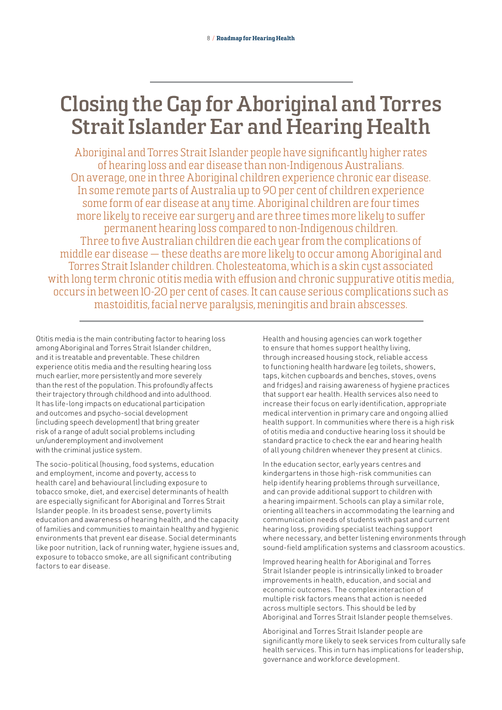## **Closing the Gap for Aboriginal and Torres Strait Islander Ear and Hearing Health**

Aboriginal and Torres Strait Islander people have significantly higher rates of hearing loss and ear disease than non-Indigenous Australians. On average, one in three Aboriginal children experience chronic ear disease. In some remote parts of Australia up to 90 per cent of children experience some form of ear disease at any time. Aboriginal children are four times more likely to receive ear surgery and are three times more likely to suffer permanent hearing loss compared to non-Indigenous children. Three to five Australian children die each year from the complications of middle ear disease — these deaths are more likely to occur among Aboriginal and Torres Strait Islander children. Cholesteatoma, which is a skin cust associated with long term chronic otitis media with effusion and chronic suppurative otitis media, occurs in between 10-20 per cent of cases. It can cause serious complications such as mastoiditis, facial nerve paralysis, meningitis and brain abscesses.

Otitis media is the main contributing factor to hearing loss among Aboriginal and Torres Strait Islander children, and it is treatable and preventable. These children experience otitis media and the resulting hearing loss much earlier, more persistently and more severely than the rest of the population. This profoundly affects their trajectory through childhood and into adulthood. It has life-long impacts on educational participation and outcomes and psycho-social development (including speech development) that bring greater risk of a range of adult social problems including un/underemployment and involvement with the criminal justice system.

The socio-political (housing, food systems, education and employment, income and poverty, access to health care) and behavioural (including exposure to tobacco smoke, diet, and exercise) determinants of health are especially significant for Aboriginal and Torres Strait Islander people. In its broadest sense, poverty limits education and awareness of hearing health, and the capacity of families and communities to maintain healthy and hygienic environments that prevent ear disease. Social determinants like poor nutrition, lack of running water, hygiene issues and, exposure to tobacco smoke, are all significant contributing factors to ear disease.

Health and housing agencies can work together to ensure that homes support healthy living, through increased housing stock, reliable access to functioning health hardware (eg toilets, showers, taps, kitchen cupboards and benches, stoves, ovens and fridges) and raising awareness of hygiene practices that support ear health. Health services also need to increase their focus on early identification, appropriate medical intervention in primary care and ongoing allied health support. In communities where there is a high risk of otitis media and conductive hearing loss it should be standard practice to check the ear and hearing health of all young children whenever they present at clinics.

In the education sector, early years centres and kindergartens in those high-risk communities can help identify hearing problems through surveillance, and can provide additional support to children with a hearing impairment. Schools can play a similar role, orienting all teachers in accommodating the learning and communication needs of students with past and current hearing loss, providing specialist teaching support where necessary, and better listening environments through sound-field amplification systems and classroom acoustics.

Improved hearing health for Aboriginal and Torres Strait Islander people is intrinsically linked to broader improvements in health, education, and social and economic outcomes. The complex interaction of multiple risk factors means that action is needed across multiple sectors. This should be led by Aboriginal and Torres Strait Islander people themselves.

Aboriginal and Torres Strait Islander people are significantly more likely to seek services from culturally safe health services. This in turn has implications for leadership, governance and workforce development.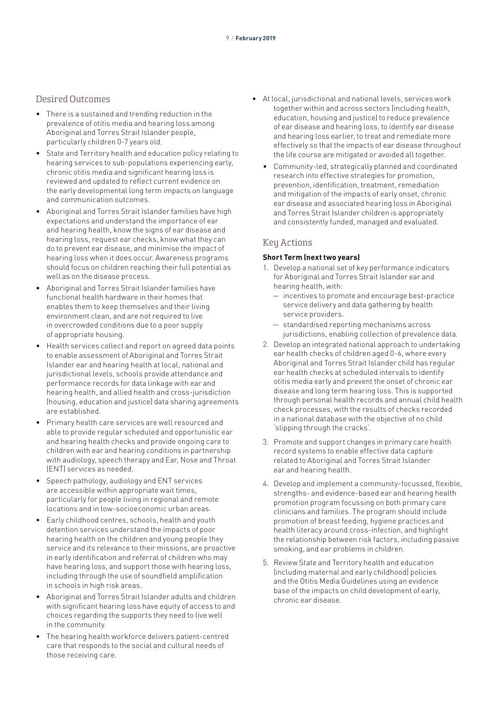### Desired Outcomes

- There is a sustained and trending reduction in the prevalence of otitis media and hearing loss among Aboriginal and Torres Strait Islander people, particularly children 0-7 years old.
- State and Territory health and education policy relating to hearing services to sub-populations experiencing early, chronic otitis media and significant hearing loss is reviewed and updated to reflect current evidence on the early developmental long term impacts on language and communication outcomes.
- Aboriginal and Torres Strait Islander families have high expectations and understand the importance of ear and hearing health, know the signs of ear disease and hearing loss, request ear checks, know what they can do to prevent ear disease, and minimise the impact of hearing loss when it does occur. Awareness programs should focus on children reaching their full potential as well as on the disease process.
- Aboriginal and Torres Strait Islander families have functional health hardware in their homes that enables them to keep themselves and their living environment clean, and are not required to live in overcrowded conditions due to a poor supply of appropriate housing.
- Health services collect and report on agreed data points to enable assessment of Aboriginal and Torres Strait Islander ear and hearing health at local, national and jurisdictional levels, schools provide attendance and performance records for data linkage with ear and hearing health, and allied health and cross-jurisdiction (housing, education and justice) data sharing agreements are established.
- Primary health care services are well resourced and able to provide regular scheduled and opportunistic ear and hearing health checks and provide ongoing care to children with ear and hearing conditions in partnership with audiology, speech therapy and Ear, Nose and Throat (ENT) services as needed.
- Speech pathology, audiology and ENT services are accessible within appropriate wait times, particularly for people living in regional and remote locations and in low-socioeconomic urban areas.
- Early childhood centres, schools, health and youth detention services understand the impacts of poor hearing health on the children and young people they service and its relevance to their missions, are proactive in early identification and referral of children who may have hearing loss, and support those with hearing loss, including through the use of soundfield amplification in schools in high risk areas.
- Aboriginal and Torres Strait Islander adults and children with significant hearing loss have equity of access to and choices regarding the supports they need to live well in the community.
- The hearing health workforce delivers patient-centred care that responds to the social and cultural needs of those receiving care.
- At local, jurisdictional and national levels, services work together within and across sectors (including health, education, housing and justice) to reduce prevalence of ear disease and hearing loss, to identify ear disease and hearing loss earlier, to treat and remediate more effectively so that the impacts of ear disease throughout the life course are mitigated or avoided all together.
	- Community-led, strategically planned and coordinated research into effective strategies for promotion, prevention, identification, treatment, remediation and mitigation of the impacts of early onset, chronic ear disease and associated hearing loss in Aboriginal and Torres Strait Islander children is appropriately and consistently funded, managed and evaluated.

### Key Actions

#### **Short Term (next two years)**

- 1. Develop a national set of key performance indicators for Aboriginal and Torres Strait Islander ear and hearing health, with:
	- incentives to promote and encourage best-practice service delivery and data gathering by health service providers.
	- standardised reporting mechanisms across jurisdictions, enabling collection of prevalence data.
- 2. Develop an integrated national approach to undertaking ear health checks of children aged 0-6, where every Aboriginal and Torres Strait Islander child has regular ear health checks at scheduled intervals to identify otitis media early and prevent the onset of chronic ear disease and long term hearing loss. This is supported through personal health records and annual child health check processes, with the results of checks recorded in a national database with the objective of no child 'slipping through the cracks'.
- 3. Promote and support changes in primary care health record systems to enable effective data capture related to Aboriginal and Torres Strait Islander ear and hearing health.
- 4. Develop and implement a community-focussed, flexible, strengths- and evidence-based ear and hearing health promotion program focussing on both primary care clinicians and families. The program should include promotion of breast feeding, hygiene practices and health literacy around cross-infection, and highlight the relationship between risk factors, including passive smoking, and ear problems in children.
- 5. Review State and Territory health and education (including maternal and early childhood) policies and the Otitis Media Guidelines using an evidence base of the impacts on child development of early, chronic ear disease.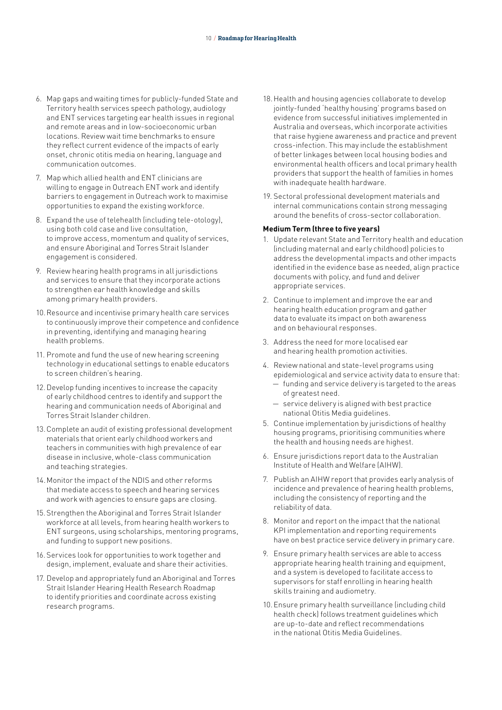- 6. Map gaps and waiting times for publicly-funded State and Territory health services speech pathology, audiology and ENT services targeting ear health issues in regional and remote areas and in low-socioeconomic urban locations. Review wait time benchmarks to ensure they reflect current evidence of the impacts of early onset, chronic otitis media on hearing, language and communication outcomes.
- 7. Map which allied health and ENT clinicians are willing to engage in Outreach ENT work and identify barriers to engagement in Outreach work to maximise opportunities to expand the existing workforce.
- 8. Expand the use of telehealth (including tele-otology), using both cold case and live consultation, to improve access, momentum and quality of services, and ensure Aboriginal and Torres Strait Islander engagement is considered.
- 9. Review hearing health programs in all jurisdictions and services to ensure that they incorporate actions to strengthen ear health knowledge and skills among primary health providers.
- 10.Resource and incentivise primary health care services to continuously improve their competence and confidence in preventing, identifying and managing hearing health problems.
- 11. Promote and fund the use of new hearing screening technology in educational settings to enable educators to screen children's hearing.
- 12.Develop funding incentives to increase the capacity of early childhood centres to identify and support the hearing and communication needs of Aboriginal and Torres Strait Islander children.
- 13.Complete an audit of existing professional development materials that orient early childhood workers and teachers in communities with high prevalence of ear disease in inclusive, whole-class communication and teaching strategies.
- 14.Monitor the impact of the NDIS and other reforms that mediate access to speech and hearing services and work with agencies to ensure gaps are closing.
- 15.Strengthen the Aboriginal and Torres Strait Islander workforce at all levels, from hearing health workers to ENT surgeons, using scholarships, mentoring programs, and funding to support new positions.
- 16. Services look for opportunities to work together and design, implement, evaluate and share their activities.
- 17. Develop and appropriately fund an Aboriginal and Torres Strait Islander Hearing Health Research Roadmap to identify priorities and coordinate across existing research programs.
- 18.Health and housing agencies collaborate to develop jointly-funded 'healthy housing' programs based on evidence from successful initiatives implemented in Australia and overseas, which incorporate activities that raise hygiene awareness and practice and prevent cross-infection. This may include the establishment of better linkages between local housing bodies and environmental health officers and local primary health providers that support the health of families in homes with inadequate health hardware.
- 19. Sectoral professional development materials and internal communications contain strong messaging around the benefits of cross-sector collaboration.

#### **Medium Term (three to five years)**

- 1. Update relevant State and Territory health and education (including maternal and early childhood) policies to address the developmental impacts and other impacts identified in the evidence base as needed, align practice documents with policy, and fund and deliver appropriate services.
- 2. Continue to implement and improve the ear and hearing health education program and gather data to evaluate its impact on both awareness and on behavioural responses.
- 3. Address the need for more localised ear and hearing health promotion activities.
- 4. Review national and state-level programs using epidemiological and service activity data to ensure that: — funding and service delivery is targeted to the areas of greatest need.
	- service delivery is aligned with best practice national Otitis Media guidelines.
- 5. Continue implementation by jurisdictions of healthy housing programs, prioritising communities where the health and housing needs are highest.
- 6. Ensure jurisdictions report data to the Australian Institute of Health and Welfare (AIHW).
- 7. Publish an AIHW report that provides early analysis of incidence and prevalence of hearing health problems, including the consistency of reporting and the reliability of data.
- 8. Monitor and report on the impact that the national KPI implementation and reporting requirements have on best practice service delivery in primary care.
- 9. Ensure primary health services are able to access appropriate hearing health training and equipment, and a system is developed to facilitate access to supervisors for staff enrolling in hearing health skills training and audiometry.
- 10.Ensure primary health surveillance (including child health check) follows treatment guidelines which are up-to-date and reflect recommendations in the national Otitis Media Guidelines.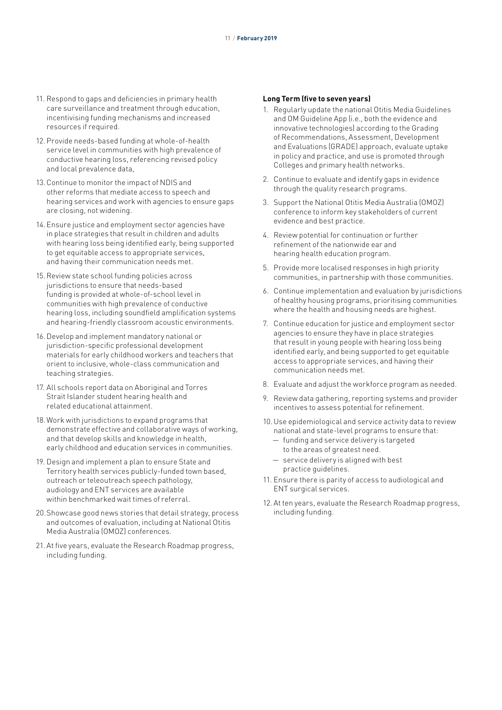- 11. Respond to gaps and deficiencies in primary health care surveillance and treatment through education, incentivising funding mechanisms and increased resources if required.
- 12.Provide needs-based funding at whole-of-health service level in communities with high prevalence of conductive hearing loss, referencing revised policy and local prevalence data,
- 13.Continue to monitor the impact of NDIS and other reforms that mediate access to speech and hearing services and work with agencies to ensure gaps are closing, not widening.
- 14.Ensure justice and employment sector agencies have in place strategies that result in children and adults with hearing loss being identified early, being supported to get equitable access to appropriate services, and having their communication needs met.
- 15.Review state school funding policies across jurisdictions to ensure that needs-based funding is provided at whole-of-school level in communities with high prevalence of conductive hearing loss, including soundfield amplification systems and hearing-friendly classroom acoustic environments.
- 16.Develop and implement mandatory national or jurisdiction-specific professional development materials for early childhood workers and teachers that orient to inclusive, whole-class communication and teaching strategies.
- 17. All schools report data on Aboriginal and Torres Strait Islander student hearing health and related educational attainment.
- 18.Work with jurisdictions to expand programs that demonstrate effective and collaborative ways of working, and that develop skills and knowledge in health, early childhood and education services in communities.
- 19. Design and implement a plan to ensure State and Territory health services publicly-funded town based, outreach or teleoutreach speech pathology, audiology and ENT services are available within benchmarked wait times of referral.
- 20.Showcase good news stories that detail strategy, process and outcomes of evaluation, including at National Otitis Media Australia (OMOZ) conferences.
- 21. At five years, evaluate the Research Roadmap progress, including funding.

- 1. Regularly update the national Otitis Media Guidelines and OM Guideline App (i.e., both the evidence and innovative technologies) according to the Grading of Recommendations, Assessment, Development and Evaluations (GRADE) approach, evaluate uptake in policy and practice, and use is promoted through Colleges and primary health networks.
- 2. Continue to evaluate and identify gaps in evidence through the quality research programs.
- 3. Support the National Otitis Media Australia (OMOZ) conference to inform key stakeholders of current evidence and best practice.
- 4. Review potential for continuation or further refinement of the nationwide ear and hearing health education program.
- 5. Provide more localised responses in high priority communities, in partnership with those communities.
- 6. Continue implementation and evaluation by jurisdictions of healthy housing programs, prioritising communities where the health and housing needs are highest.
- 7. Continue education for justice and employment sector agencies to ensure they have in place strategies that result in young people with hearing loss being identified early, and being supported to get equitable access to appropriate services, and having their communication needs met.
- 8. Evaluate and adjust the workforce program as needed.
- 9. Review data gathering, reporting systems and provider incentives to assess potential for refinement.
- 10.Use epidemiological and service activity data to review national and state-level programs to ensure that:
	- funding and service delivery is targeted to the areas of greatest need.
	- service delivery is aligned with best practice guidelines.
- 11. Ensure there is parity of access to audiological and ENT surgical services.
- 12.At ten years, evaluate the Research Roadmap progress, including funding.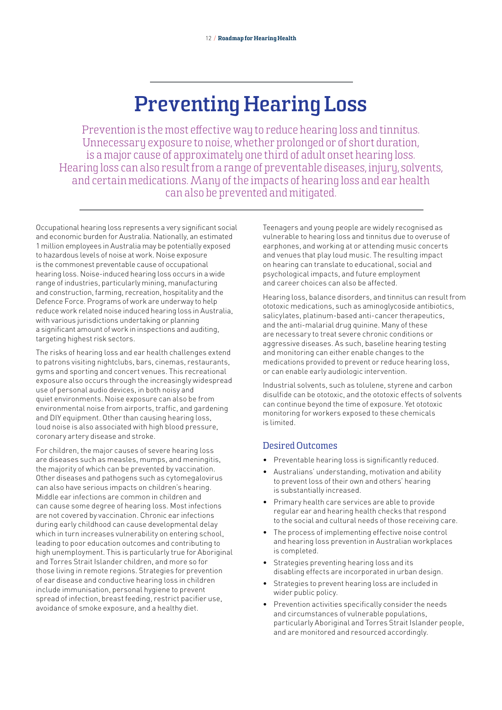## **Preventing Hearing Loss**

Prevention is the most effective way to reduce hearing loss and tinnitus. Unnecessary exposure to noise, whether prolonged or of short duration, is a major cause of approximately one third of adult onset hearing loss. Hearing loss can also result from a range of preventable diseases, injury, solvents, and certain medications. Many of the impacts of hearing loss and ear health can also be prevented and mitigated.

Occupational hearing loss represents a very significant social and economic burden for Australia. Nationally, an estimated 1 million employees in Australia may be potentially exposed to hazardous levels of noise at work. Noise exposure is the commonest preventable cause of occupational hearing loss. Noise-induced hearing loss occurs in a wide range of industries, particularly mining, manufacturing and construction, farming, recreation, hospitality and the Defence Force. Programs of work are underway to help reduce work related noise induced hearing loss in Australia, with various jurisdictions undertaking or planning a significant amount of work in inspections and auditing, targeting highest risk sectors.

The risks of hearing loss and ear health challenges extend to patrons visiting nightclubs, bars, cinemas, restaurants, gyms and sporting and concert venues. This recreational exposure also occurs through the increasingly widespread use of personal audio devices, in both noisy and quiet environments. Noise exposure can also be from environmental noise from airports, traffic, and gardening and DIY equipment. Other than causing hearing loss, loud noise is also associated with high blood pressure, coronary artery disease and stroke.

For children, the major causes of severe hearing loss are diseases such as measles, mumps, and meningitis, the majority of which can be prevented by vaccination. Other diseases and pathogens such as cytomegalovirus can also have serious impacts on children's hearing. Middle ear infections are common in children and can cause some degree of hearing loss. Most infections are not covered by vaccination. Chronic ear infections during early childhood can cause developmental delay which in turn increases vulnerability on entering school, leading to poor education outcomes and contributing to high unemployment. This is particularly true for Aboriginal and Torres Strait Islander children, and more so for those living in remote regions. Strategies for prevention of ear disease and conductive hearing loss in children include immunisation, personal hygiene to prevent spread of infection, breast feeding, restrict pacifier use, avoidance of smoke exposure, and a healthy diet.

Teenagers and young people are widely recognised as vulnerable to hearing loss and tinnitus due to overuse of earphones, and working at or attending music concerts and venues that play loud music. The resulting impact on hearing can translate to educational, social and psychological impacts, and future employment and career choices can also be affected.

Hearing loss, balance disorders, and tinnitus can result from ototoxic medications, such as aminoglycoside antibiotics, salicylates, platinum-based anti-cancer therapeutics, and the anti-malarial drug quinine. Many of these are necessary to treat severe chronic conditions or aggressive diseases. As such, baseline hearing testing and monitoring can either enable changes to the medications provided to prevent or reduce hearing loss, or can enable early audiologic intervention.

Industrial solvents, such as tolulene, styrene and carbon disulfide can be ototoxic, and the ototoxic effects of solvents can continue beyond the time of exposure. Yet ototoxic monitoring for workers exposed to these chemicals is limited.

## Desired Outcomes

- Preventable hearing loss is significantly reduced.
- Australians' understanding, motivation and ability to prevent loss of their own and others' hearing is substantially increased.
- Primary health care services are able to provide regular ear and hearing health checks that respond to the social and cultural needs of those receiving care.
- The process of implementing effective noise control and hearing loss prevention in Australian workplaces is completed.
- Strategies preventing hearing loss and its disabling effects are incorporated in urban design.
- Strategies to prevent hearing loss are included in wider public policy.
- Prevention activities specifically consider the needs and circumstances of vulnerable populations, particularly Aboriginal and Torres Strait Islander people, and are monitored and resourced accordingly.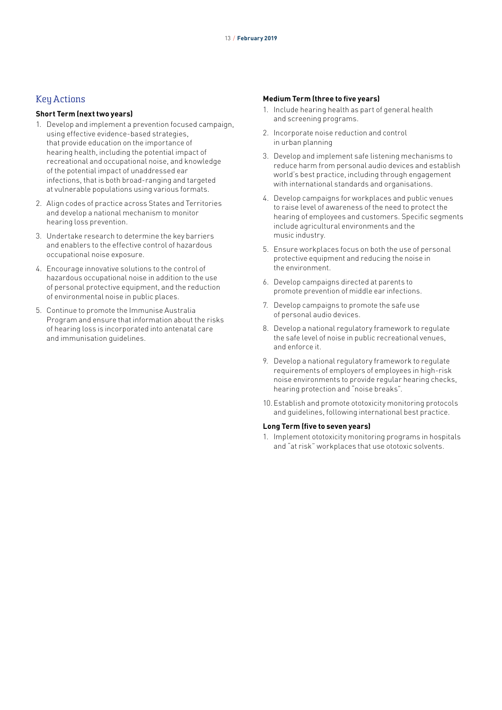### **Key Actions**

#### **Short Term (next two years)**

- 1. Develop and implement a prevention focused campaign, using effective evidence-based strategies, that provide education on the importance of hearing health, including the potential impact of recreational and occupational noise, and knowledge of the potential impact of unaddressed ear infections, that is both broad-ranging and targeted at vulnerable populations using various formats.
- 2. Align codes of practice across States and Territories and develop a national mechanism to monitor hearing loss prevention.
- 3. Undertake research to determine the key barriers and enablers to the effective control of hazardous occupational noise exposure.
- 4. Encourage innovative solutions to the control of hazardous occupational noise in addition to the use of personal protective equipment, and the reduction of environmental noise in public places.
- 5. Continue to promote the Immunise Australia Program and ensure that information about the risks of hearing loss is incorporated into antenatal care and immunisation quidelines.

#### **Medium Term (three to five years)**

- 1. Include hearing health as part of general health and screening programs.
- 2. Incorporate noise reduction and control in urban planning
- 3. Develop and implement safe listening mechanisms to reduce harm from personal audio devices and establish world's best practice, including through engagement with international standards and organisations.
- 4. Develop campaigns for workplaces and public venues to raise level of awareness of the need to protect the hearing of employees and customers. Specific segments include agricultural environments and the music industry.
- 5. Ensure workplaces focus on both the use of personal protective equipment and reducing the noise in the environment.
- 6. Develop campaigns directed at parents to promote prevention of middle ear infections.
- 7. Develop campaigns to promote the safe use of personal audio devices.
- 8. Develop a national regulatory framework to regulate the safe level of noise in public recreational venues, and enforce it.
- 9. Develop a national regulatory framework to regulate requirements of employers of employees in high-risk noise environments to provide regular hearing checks, hearing protection and "noise breaks".
- 10.Establish and promote ototoxicity monitoring protocols and guidelines, following international best practice.

#### **Long Term (five to seven years)**

1. Implement ototoxicity monitoring programs in hospitals and "at risk" workplaces that use ototoxic solvents.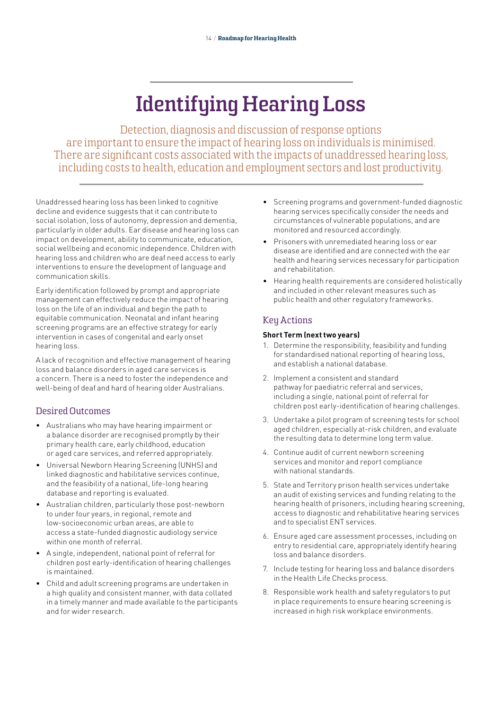## **Identifying Hearing Loss**

Detection, diagnosis and discussion of response options are important to ensure the impact of hearing loss on individuals is minimised. There are significant costs associated with the impacts of unaddressed hearing loss, including costs to health, education and employment sectors and lost productivity.

Unaddressed hearing loss has been linked to cognitive decline and evidence suggests that it can contribute to social isolation, loss of autonomy, depression and dementia, particularly in older adults. Ear disease and hearing loss can impact on development, ability to communicate, education, social wellbeing and economic independence. Children with hearing loss and children who are deaf need access to early interventions to ensure the development of language and communication skills.

Early identification followed by prompt and appropriate management can effectively reduce the impact of hearing loss on the life of an individual and begin the path to equitable communication. Neonatal and infant hearing screening programs are an effective strategy for early intervention in cases of congenital and early onset hearing loss.

A lack of recognition and effective management of hearing loss and balance disorders in aged care services is a concern. There is a need to foster the independence and well-being of deaf and hard of hearing older Australians.

### Desired Outcomes

- Australians who may have hearing impairment or a balance disorder are recognised promptly by their primary health care, early childhood, education or aged care services, and referred appropriately.
- Universal Newborn Hearing Screening (UNHS) and linked diagnostic and habilitative services continue, and the feasibility of a national, life-long hearing database and reporting is evaluated.
- Australian children, particularly those post-newborn to under four years, in regional, remote and low-socioeconomic urban areas, are able to access a state-funded diagnostic audiology service within one month of referral.
- A single, independent, national point of referral for children post early-identification of hearing challenges is maintained.
- Child and adult screening programs are undertaken in a high quality and consistent manner, with data collated in a timely manner and made available to the participants and for wider research.
- Screening programs and government-funded diagnostic hearing services specifically consider the needs and circumstances of vulnerable populations, and are monitored and resourced accordingly.
- Prisoners with unremediated hearing loss or ear disease are identified and are connected with the ear health and hearing services necessary for participation and rehabilitation.
- Hearing health requirements are considered holistically and included in other relevant measures such as public health and other regulatory frameworks.

## Key Actions

#### **Short Term (next two years)**

- 1. Determine the responsibility, feasibility and funding for standardised national reporting of hearing loss, and establish a national database.
- 2. Implement a consistent and standard pathway for paediatric referral and services, including a single, national point of referral for children post early-identification of hearing challenges.
- 3. Undertake a pilot program of screening tests for school aged children, especially at-risk children, and evaluate the resulting data to determine long term value.
- 4. Continue audit of current newborn screening services and monitor and report compliance with national standards.
- 5. State and Territory prison health services undertake an audit of existing services and funding relating to the hearing health of prisoners, including hearing screening, access to diagnostic and rehabilitative hearing services and to specialist ENT services.
- 6. Ensure aged care assessment processes, including on entry to residential care, appropriately identify hearing loss and balance disorders.
- 7. Include testing for hearing loss and balance disorders in the Health Life Checks process.
- 8. Responsible work health and safety regulators to put in place requirements to ensure hearing screening is increased in high risk workplace environments.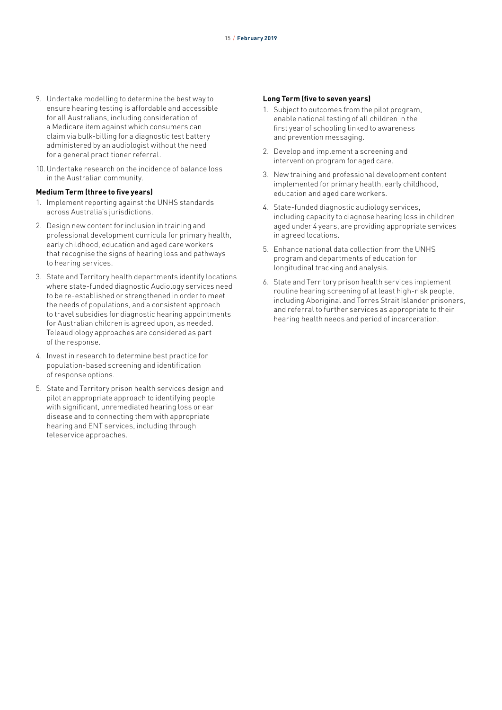- 9. Undertake modelling to determine the best way to ensure hearing testing is affordable and accessible for all Australians, including consideration of a Medicare item against which consumers can claim via bulk-billing for a diagnostic test battery administered by an audiologist without the need for a general practitioner referral.
- 10.Undertake research on the incidence of balance loss in the Australian community.

#### **Medium Term (three to five years)**

- 1. Implement reporting against the UNHS standards across Australia's jurisdictions.
- 2. Design new content for inclusion in training and professional development curricula for primary health, early childhood, education and aged care workers that recognise the signs of hearing loss and pathways to hearing services.
- 3. State and Territory health departments identify locations where state-funded diagnostic Audiology services need to be re-established or strengthened in order to meet the needs of populations, and a consistent approach to travel subsidies for diagnostic hearing appointments for Australian children is agreed upon, as needed. Teleaudiology approaches are considered as part of the response.
- 4. Invest in research to determine best practice for population-based screening and identification of response options.
- 5. State and Territory prison health services design and pilot an appropriate approach to identifying people with significant, unremediated hearing loss or ear disease and to connecting them with appropriate hearing and ENT services, including through teleservice approaches.

- 1. Subject to outcomes from the pilot program, enable national testing of all children in the first year of schooling linked to awareness and prevention messaging.
- 2. Develop and implement a screening and intervention program for aged care.
- 3. New training and professional development content implemented for primary health, early childhood, education and aged care workers.
- 4. State-funded diagnostic audiology services, including capacity to diagnose hearing loss in children aged under 4 years, are providing appropriate services in agreed locations.
- 5. Enhance national data collection from the UNHS program and departments of education for longitudinal tracking and analysis.
- 6. State and Territory prison health services implement routine hearing screening of at least high-risk people, including Aboriginal and Torres Strait Islander prisoners, and referral to further services as appropriate to their hearing health needs and period of incarceration.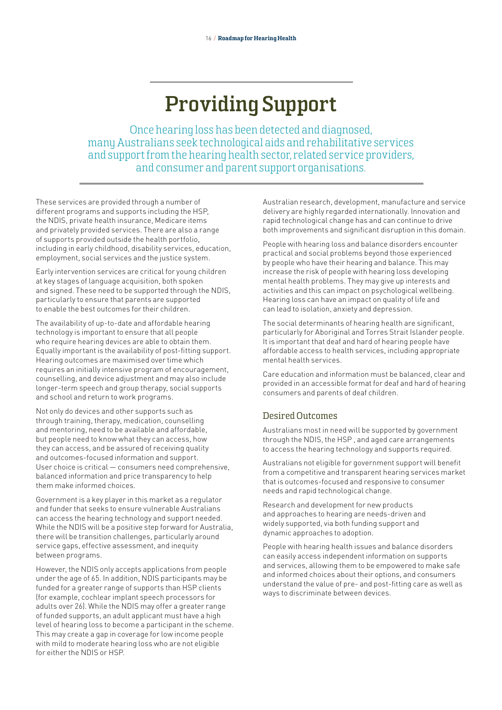## **Providing Support**

Once hearing loss has been detected and diagnosed, many Australians seek technological aids and rehabilitative services and support from the hearing health sector, related service providers, and consumer and parent support organisations.

These services are provided through a number of different programs and supports including the HSP, the NDIS, private health insurance, Medicare items and privately provided services. There are also a range of supports provided outside the health portfolio, including in early childhood, disability services, education, employment, social services and the justice system.

Early intervention services are critical for young children at key stages of language acquisition, both spoken and signed. These need to be supported through the NDIS, particularly to ensure that parents are supported to enable the best outcomes for their children.

The availability of up-to-date and affordable hearing technology is important to ensure that all people who require hearing devices are able to obtain them. Equally important is the availability of post-fitting support. Hearing outcomes are maximised over time which requires an initially intensive program of encouragement, counselling, and device adjustment and may also include longer-term speech and group therapy, social supports and school and return to work programs.

Not only do devices and other supports such as through training, therapy, medication, counselling and mentoring, need to be available and affordable, but people need to know what they can access, how they can access, and be assured of receiving quality and outcomes-focused information and support. User choice is critical — consumers need comprehensive, balanced information and price transparency to help them make informed choices.

Government is a key player in this market as a regulator and funder that seeks to ensure vulnerable Australians can access the hearing technology and support needed. While the NDIS will be a positive step forward for Australia, there will be transition challenges, particularly around service gaps, effective assessment, and inequity between programs.

However, the NDIS only accepts applications from people under the age of 65. In addition, NDIS participants may be funded for a greater range of supports than HSP clients (for example, cochlear implant speech processors for adults over 26). While the NDIS may offer a greater range of funded supports, an adult applicant must have a high level of hearing loss to become a participant in the scheme. This may create a gap in coverage for low income people with mild to moderate hearing loss who are not eligible for either the NDIS or HSP.

Australian research, development, manufacture and service delivery are highly regarded internationally. Innovation and rapid technological change has and can continue to drive both improvements and significant disruption in this domain.

People with hearing loss and balance disorders encounter practical and social problems beyond those experienced by people who have their hearing and balance. This may increase the risk of people with hearing loss developing mental health problems. They may give up interests and activities and this can impact on psychological wellbeing. Hearing loss can have an impact on quality of life and can lead to isolation, anxiety and depression.

The social determinants of hearing health are significant, particularly for Aboriginal and Torres Strait Islander people. It is important that deaf and hard of hearing people have affordable access to health services, including appropriate mental health services.

Care education and information must be balanced, clear and provided in an accessible format for deaf and hard of hearing consumers and parents of deaf children.

## Desired Outcomes

Australians most in need will be supported by government through the NDIS, the HSP , and aged care arrangements to access the hearing technology and supports required.

Australians not eligible for government support will benefit from a competitive and transparent hearing services market that is outcomes-focused and responsive to consumer needs and rapid technological change.

Research and development for new products and approaches to hearing are needs-driven and widely supported, via both funding support and dynamic approaches to adoption.

People with hearing health issues and balance disorders can easily access independent information on supports and services, allowing them to be empowered to make safe and informed choices about their options, and consumers understand the value of pre- and post-fitting care as well as ways to discriminate between devices.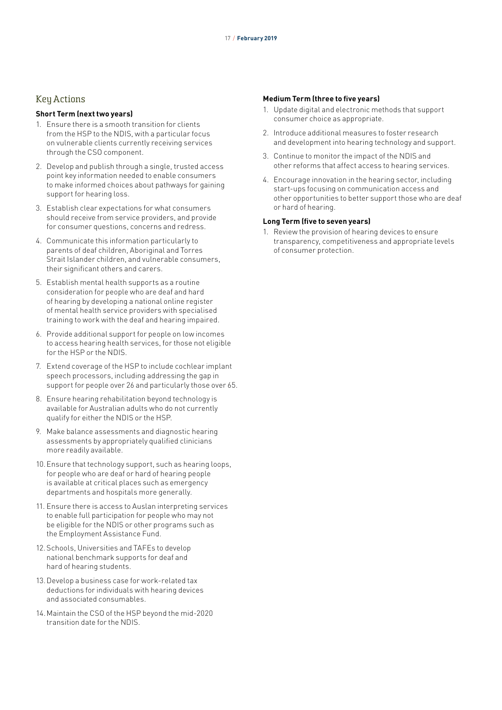### Key Actions

#### **Short Term (next two years)**

- 1. Ensure there is a smooth transition for clients from the HSP to the NDIS, with a particular focus on vulnerable clients currently receiving services through the CSO component.
- 2. Develop and publish through a single, trusted access point key information needed to enable consumers to make informed choices about pathways for gaining support for hearing loss.
- 3. Establish clear expectations for what consumers should receive from service providers, and provide for consumer questions, concerns and redress.
- 4. Communicate this information particularly to parents of deaf children, Aboriginal and Torres Strait Islander children, and vulnerable consumers, their significant others and carers.
- 5. Establish mental health supports as a routine consideration for people who are deaf and hard of hearing by developing a national online register of mental health service providers with specialised training to work with the deaf and hearing impaired.
- 6. Provide additional support for people on low incomes to access hearing health services, for those not eligible for the HSP or the NDIS.
- 7. Extend coverage of the HSP to include cochlear implant speech processors, including addressing the gap in support for people over 26 and particularly those over 65.
- 8. Ensure hearing rehabilitation beyond technology is available for Australian adults who do not currently qualify for either the NDIS or the HSP.
- 9. Make balance assessments and diagnostic hearing assessments by appropriately qualified clinicians more readily available.
- 10.Ensure that technology support, such as hearing loops, for people who are deaf or hard of hearing people is available at critical places such as emergency departments and hospitals more generally.
- 11. Ensure there is access to Auslan interpreting services to enable full participation for people who may not be eligible for the NDIS or other programs such as the Employment Assistance Fund.
- 12.Schools, Universities and TAFEs to develop national benchmark supports for deaf and hard of hearing students.
- 13.Develop a business case for work-related tax deductions for individuals with hearing devices and associated consumables.
- 14.Maintain the CSO of the HSP beyond the mid-2020 transition date for the NDIS.

#### **Medium Term (three to five years)**

- 1. Update digital and electronic methods that support consumer choice as appropriate.
- 2. Introduce additional measures to foster research and development into hearing technology and support.
- 3. Continue to monitor the impact of the NDIS and other reforms that affect access to hearing services.
- 4. Encourage innovation in the hearing sector, including start-ups focusing on communication access and other opportunities to better support those who are deaf or hard of hearing.

#### **Long Term (five to seven years)**

1. Review the provision of hearing devices to ensure transparency, competitiveness and appropriate levels of consumer protection.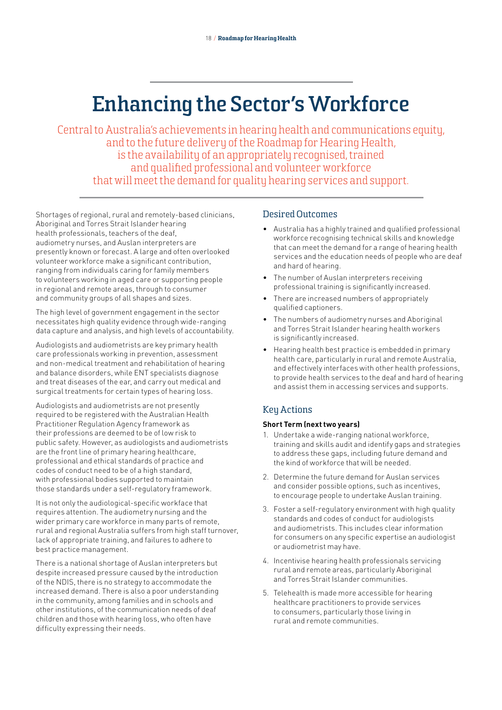## **Enhancing the Sector's Workforce**

Central to Australia's achievements in hearing health and communications equity, and to the future delivery of the Roadmap for Hearing Health, is the availability of an appropriately recognised, trained and qualified professional and volunteer workforce that will meet the demand for quality hearing services and support.

Shortages of regional, rural and remotely-based clinicians, Aboriginal and Torres Strait Islander hearing health professionals, teachers of the deaf, audiometry nurses, and Auslan interpreters are presently known or forecast. A large and often overlooked volunteer workforce make a significant contribution, ranging from individuals caring for family members to volunteers working in aged care or supporting people in regional and remote areas, through to consumer and community groups of all shapes and sizes.

The high level of government engagement in the sector necessitates high quality evidence through wide-ranging data capture and analysis, and high levels of accountability.

Audiologists and audiometrists are key primary health care professionals working in prevention, assessment and non-medical treatment and rehabilitation of hearing and balance disorders, while ENT specialists diagnose and treat diseases of the ear, and carry out medical and surgical treatments for certain types of hearing loss.

Audiologists and audiometrists are not presently required to be registered with the Australian Health Practitioner Regulation Agency framework as their professions are deemed to be of low risk to public safety. However, as audiologists and audiometrists are the front line of primary hearing healthcare, professional and ethical standards of practice and codes of conduct need to be of a high standard, with professional bodies supported to maintain those standards under a self-regulatory framework.

It is not only the audiological-specific workface that requires attention. The audiometry nursing and the wider primary care workforce in many parts of remote, rural and regional Australia suffers from high staff turnover, lack of appropriate training, and failures to adhere to best practice management.

There is a national shortage of Auslan interpreters but despite increased pressure caused by the introduction of the NDIS, there is no strategy to accommodate the increased demand. There is also a poor understanding in the community, among families and in schools and other institutions, of the communication needs of deaf children and those with hearing loss, who often have difficulty expressing their needs.

### Desired Outcomes

- Australia has a highly trained and qualified professional workforce recognising technical skills and knowledge that can meet the demand for a range of hearing health services and the education needs of people who are deaf and hard of hearing.
- The number of Auslan interpreters receiving professional training is significantly increased.
- There are increased numbers of appropriately qualified captioners.
- The numbers of audiometry nurses and Aboriginal and Torres Strait Islander hearing health workers is significantly increased.
- Hearing health best practice is embedded in primary health care, particularly in rural and remote Australia, and effectively interfaces with other health professions, to provide health services to the deaf and hard of hearing and assist them in accessing services and supports.

## Key Actions

#### **Short Term (next two years)**

- 1. Undertake a wide-ranging national workforce, training and skills audit and identify gaps and strategies to address these gaps, including future demand and the kind of workforce that will be needed.
- 2. Determine the future demand for Auslan services and consider possible options, such as incentives, to encourage people to undertake Auslan training.
- 3. Foster a self-regulatory environment with high quality standards and codes of conduct for audiologists and audiometrists. This includes clear information for consumers on any specific expertise an audiologist or audiometrist may have.
- 4. Incentivise hearing health professionals servicing rural and remote areas, particularly Aboriginal and Torres Strait Islander communities.
- 5. Telehealth is made more accessible for hearing healthcare practitioners to provide services to consumers, particularly those living in rural and remote communities.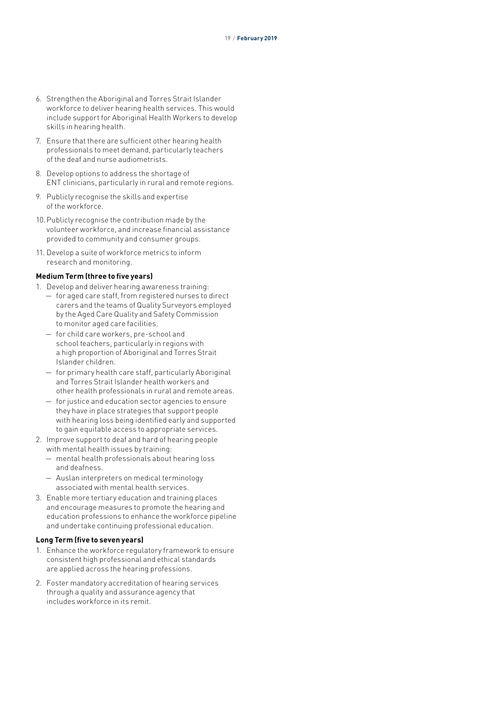- 6. Strengthen the Aboriginal and Torres Strait Islander workforce to deliver hearing health services. This would include support for Aboriginal Health Workers to develop skills in hearing health.
- 7. Ensure that there are sufficient other hearing health professionals to meet demand, particularly teachers of the deaf and nurse audiometrists.
- 8. Develop options to address the shortage of ENT clinicians, particularly in rural and remote regions.
- 9. Publicly recognise the skills and expertise of the workforce.
- 10.Publicly recognise the contribution made by the volunteer workforce, and increase financial assistance provided to community and consumer groups.
- 11. Develop a suite of workforce metrics to inform research and monitoring.

#### **Medium Term (three to five years)**

- 1. Develop and deliver hearing awareness training:
	- for aged care staff, from registered nurses to direct carers and the teams of Quality Surveyors employed by the Aged Care Quality and Safety Commission to monitor aged care facilities.
	- for child care workers, pre-school and school teachers, particularly in regions with a high proportion of Aboriginal and Torres Strait Islander children.
	- for primary health care staff, particularly Aboriginal and Torres Strait Islander health workers and other health professionals in rural and remote areas.
	- for justice and education sector agencies to ensure they have in place strategies that support people with hearing loss being identified early and supported to gain equitable access to appropriate services.
- 2. Improve support to deaf and hard of hearing people with mental health issues by training:
	- mental health professionals about hearing loss and deafness.
	- Auslan interpreters on medical terminology associated with mental health services.
- 3. Enable more tertiary education and training places and encourage measures to promote the hearing and education professions to enhance the workforce pipeline and undertake continuing professional education.

- 1. Enhance the workforce regulatory framework to ensure consistent high professional and ethical standards are applied across the hearing professions.
- 2. Foster mandatory accreditation of hearing services through a quality and assurance agency that includes workforce in its remit.